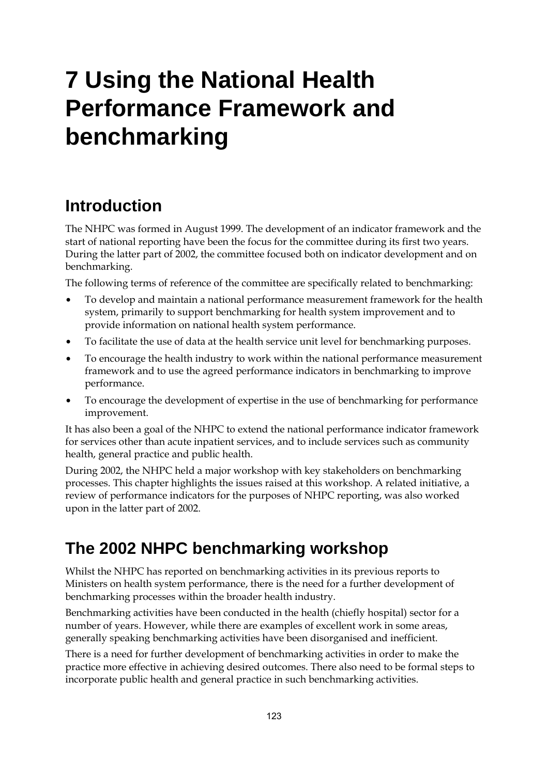# **7 Using the National Health Performance Framework and benchmarking**

## **Introduction**

The NHPC was formed in August 1999. The development of an indicator framework and the start of national reporting have been the focus for the committee during its first two years. During the latter part of 2002, the committee focused both on indicator development and on benchmarking.

The following terms of reference of the committee are specifically related to benchmarking:

- To develop and maintain a national performance measurement framework for the health system, primarily to support benchmarking for health system improvement and to provide information on national health system performance.
- To facilitate the use of data at the health service unit level for benchmarking purposes.
- To encourage the health industry to work within the national performance measurement framework and to use the agreed performance indicators in benchmarking to improve performance.
- To encourage the development of expertise in the use of benchmarking for performance improvement.

It has also been a goal of the NHPC to extend the national performance indicator framework for services other than acute inpatient services, and to include services such as community health, general practice and public health.

During 2002, the NHPC held a major workshop with key stakeholders on benchmarking processes. This chapter highlights the issues raised at this workshop. A related initiative, a review of performance indicators for the purposes of NHPC reporting, was also worked upon in the latter part of 2002.

## **The 2002 NHPC benchmarking workshop**

Whilst the NHPC has reported on benchmarking activities in its previous reports to Ministers on health system performance, there is the need for a further development of benchmarking processes within the broader health industry.

Benchmarking activities have been conducted in the health (chiefly hospital) sector for a number of years. However, while there are examples of excellent work in some areas, generally speaking benchmarking activities have been disorganised and inefficient.

There is a need for further development of benchmarking activities in order to make the practice more effective in achieving desired outcomes. There also need to be formal steps to incorporate public health and general practice in such benchmarking activities.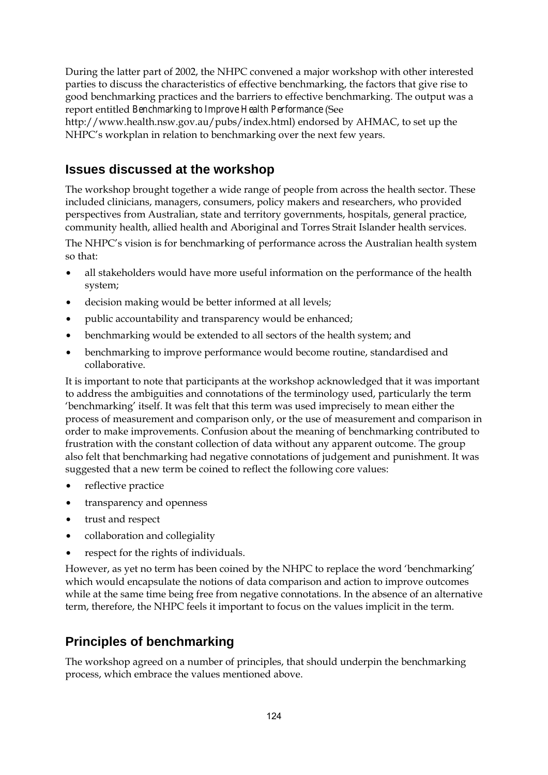During the latter part of 2002, the NHPC convened a major workshop with other interested parties to discuss the characteristics of effective benchmarking, the factors that give rise to good benchmarking practices and the barriers to effective benchmarking. The output was a report entitled *Benchmarking to Improve Health Performance* (See

http://www.health.nsw.gov.au/pubs/index.html) endorsed by AHMAC, to set up the NHPC's workplan in relation to benchmarking over the next few years.

#### **Issues discussed at the workshop**

The workshop brought together a wide range of people from across the health sector. These included clinicians, managers, consumers, policy makers and researchers, who provided perspectives from Australian, state and territory governments, hospitals, general practice, community health, allied health and Aboriginal and Torres Strait Islander health services.

The NHPC's vision is for benchmarking of performance across the Australian health system so that:

- all stakeholders would have more useful information on the performance of the health system;
- decision making would be better informed at all levels;
- public accountability and transparency would be enhanced;
- benchmarking would be extended to all sectors of the health system; and
- benchmarking to improve performance would become routine, standardised and collaborative.

It is important to note that participants at the workshop acknowledged that it was important to address the ambiguities and connotations of the terminology used, particularly the term 'benchmarking' itself. It was felt that this term was used imprecisely to mean either the process of measurement and comparison only, or the use of measurement and comparison in order to make improvements. Confusion about the meaning of benchmarking contributed to frustration with the constant collection of data without any apparent outcome. The group also felt that benchmarking had negative connotations of judgement and punishment. It was suggested that a new term be coined to reflect the following core values:

- reflective practice
- transparency and openness
- trust and respect
- collaboration and collegiality
- respect for the rights of individuals.

However, as yet no term has been coined by the NHPC to replace the word 'benchmarking' which would encapsulate the notions of data comparison and action to improve outcomes while at the same time being free from negative connotations. In the absence of an alternative term, therefore, the NHPC feels it important to focus on the values implicit in the term.

#### **Principles of benchmarking**

The workshop agreed on a number of principles, that should underpin the benchmarking process, which embrace the values mentioned above.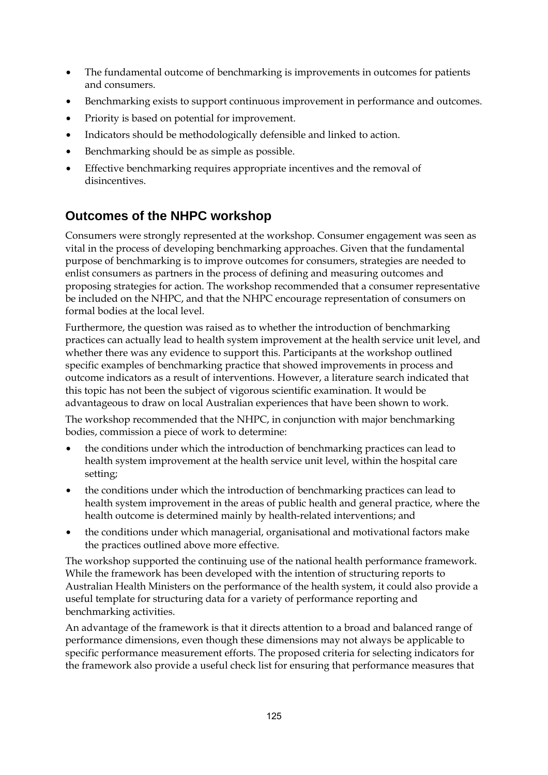- The fundamental outcome of benchmarking is improvements in outcomes for patients and consumers.
- Benchmarking exists to support continuous improvement in performance and outcomes.
- Priority is based on potential for improvement.
- Indicators should be methodologically defensible and linked to action.
- Benchmarking should be as simple as possible.
- Effective benchmarking requires appropriate incentives and the removal of disincentives.

### **Outcomes of the NHPC workshop**

Consumers were strongly represented at the workshop. Consumer engagement was seen as vital in the process of developing benchmarking approaches. Given that the fundamental purpose of benchmarking is to improve outcomes for consumers, strategies are needed to enlist consumers as partners in the process of defining and measuring outcomes and proposing strategies for action. The workshop recommended that a consumer representative be included on the NHPC, and that the NHPC encourage representation of consumers on formal bodies at the local level.

Furthermore, the question was raised as to whether the introduction of benchmarking practices can actually lead to health system improvement at the health service unit level, and whether there was any evidence to support this. Participants at the workshop outlined specific examples of benchmarking practice that showed improvements in process and outcome indicators as a result of interventions. However, a literature search indicated that this topic has not been the subject of vigorous scientific examination. It would be advantageous to draw on local Australian experiences that have been shown to work.

The workshop recommended that the NHPC, in conjunction with major benchmarking bodies, commission a piece of work to determine:

- the conditions under which the introduction of benchmarking practices can lead to health system improvement at the health service unit level, within the hospital care setting;
- the conditions under which the introduction of benchmarking practices can lead to health system improvement in the areas of public health and general practice, where the health outcome is determined mainly by health-related interventions; and
- the conditions under which managerial, organisational and motivational factors make the practices outlined above more effective.

The workshop supported the continuing use of the national health performance framework. While the framework has been developed with the intention of structuring reports to Australian Health Ministers on the performance of the health system, it could also provide a useful template for structuring data for a variety of performance reporting and benchmarking activities.

An advantage of the framework is that it directs attention to a broad and balanced range of performance dimensions, even though these dimensions may not always be applicable to specific performance measurement efforts. The proposed criteria for selecting indicators for the framework also provide a useful check list for ensuring that performance measures that